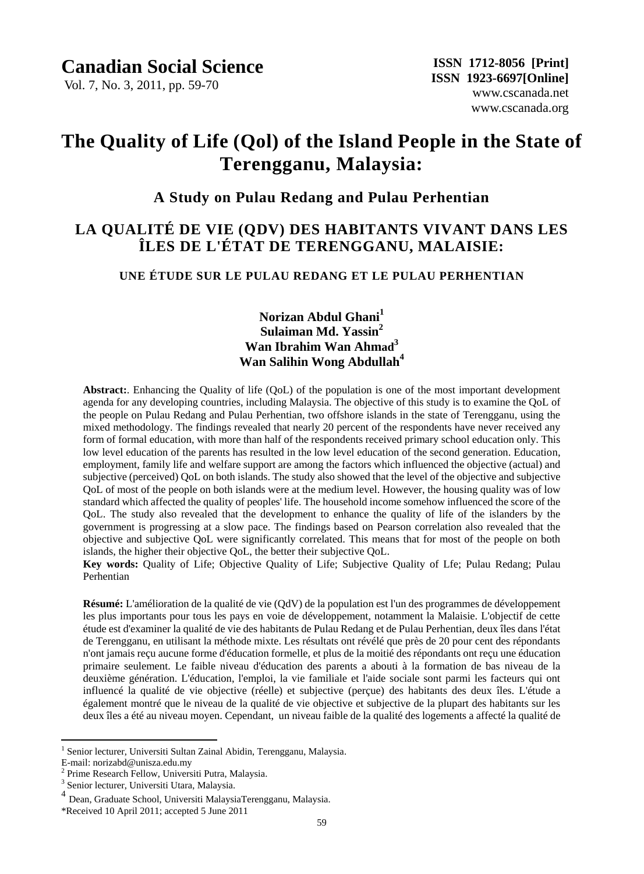Vol. 7, No. 3, 2011, pp. 59-70

# **The Quality of Life (Qol) of the Island People in the State of Terengganu, Malaysia:**

# **A Study on Pulau Redang and Pulau Perhentian**

# **LA QUALITÉ DE VIE (QDV) DES HABITANTS VIVANT DANS LES ÎLES DE L'ÉTAT DE TERENGGANU, MALAISIE:**

## **UNE ÉTUDE SUR LE PULAU REDANG ET LE PULAU PERHENTIAN**

**Norizan Abdul Ghani<sup>1</sup> Sulaiman Md. Yassin<sup>2</sup> Wan Ibrahim Wan Ahmad<sup>3</sup> Wan Salihin Wong Abdullah<sup>4</sup>**

**Abstract:**. Enhancing the Quality of life (QoL) of the population is one of the most important development agenda for any developing countries, including Malaysia. The objective of this study is to examine the QoL of the people on Pulau Redang and Pulau Perhentian, two offshore islands in the state of Terengganu, using the mixed methodology. The findings revealed that nearly 20 percent of the respondents have never received any form of formal education, with more than half of the respondents received primary school education only. This low level education of the parents has resulted in the low level education of the second generation. Education, employment, family life and welfare support are among the factors which influenced the objective (actual) and subjective (perceived) QoL on both islands. The study also showed that the level of the objective and subjective QoL of most of the people on both islands were at the medium level. However, the housing quality was of low standard which affected the quality of peoples' life. The household income somehow influenced the score of the QoL. The study also revealed that the development to enhance the quality of life of the islanders by the government is progressing at a slow pace. The findings based on Pearson correlation also revealed that the objective and subjective QoL were significantly correlated. This means that for most of the people on both islands, the higher their objective QoL, the better their subjective QoL.

**Key words:** Quality of Life; Objective Quality of Life; Subjective Quality of Lfe; Pulau Redang; Pulau Perhentian

**R** sum é L'am dioration de la qualité de vie (QdV) de la population est l'un des programmes de développement les plus importants pour tous les pays en voie de développement, notamment la Malaisie. L'objectif de cette étude est d'examiner la qualité de vie des habitants de Pulau Redang et de Pulau Perhentian, deux îles dans l'état de Terengganu, en utilisant la méthode mixte. Les résultats ont révélé que près de 20 pour cent des répondants n'ont jamais reçu aucune forme d'éducation formelle, et plus de la moitié des répondants ont reçu une éducation primaire seulement. Le faible niveau d'éducation des parents a abouti à la formation de bas niveau de la deuxième génération. L'éducation, l'emploi, la vie familiale et l'aide sociale sont parmi les facteurs qui ont influencé la qualité de vie objective (réelle) et subjective (perque) des habitants des deux îles. L'étude a également montré que le niveau de la qualité de vie objective et subjective de la plupart des habitants sur les deux îles a été au niveau moyen. Cependant, un niveau faible de la qualité des logements a affecté la qualité de

 $\overline{a}$ 

<sup>&</sup>lt;sup>1</sup> Senior lecturer, Universiti Sultan Zainal Abidin, Terengganu, Malaysia.

E-mail: norizabd@unisza.edu.my

<sup>2</sup> Prime Research Fellow, Universiti Putra, Malaysia.

<sup>&</sup>lt;sup>3</sup> Senior lecturer, Universiti Utara, Malaysia.

<sup>4</sup> Dean, Graduate School, Universiti MalaysiaTerengganu, Malaysia.

<sup>\*</sup>Received 10 April 2011; accepted 5 June 2011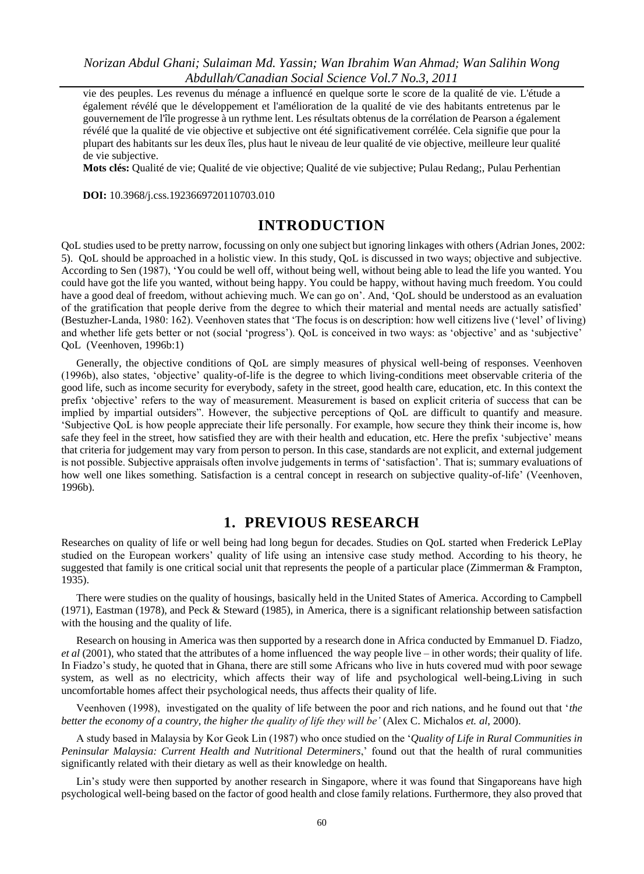vie des peuples. Les revenus du ménage a influencé en quelque sorte le score de la qualité de vie. L'étude a également révélé que le développement et l'amélioration de la qualité de vie des habitants entretenus par le gouvernement de l'île progresse à un rythme lent. Les résultats obtenus de la corrélation de Pearson a également révélé que la qualité de vie objective et subjective ont été significativement corrélée. Cela signifie que pour la plupart des habitants sur les deux *i*tes, plus haut le niveau de leur qualité de vie objective, meilleure leur qualité de vie subjective.

**Mots clés:** Qualité de vie; Qualité de vie objective; Qualité de vie subjective; Pulau Redang;, Pulau Perhentian

**DOI:** 10.3968/j.css.1923669720110703.010

# **INTRODUCTION**

QoL studies used to be pretty narrow, focussing on only one subject but ignoring linkages with others (Adrian Jones, 2002: 5). QoL should be approached in a holistic view. In this study, QoL is discussed in two ways; objective and subjective. According to Sen (1987), "You could be well off, without being well, without being able to lead the life you wanted. You could have got the life you wanted, without being happy. You could be happy, without having much freedom. You could have a good deal of freedom, without achieving much. We can go on'. And, 'QoL should be understood as an evaluation of the gratification that people derive from the degree to which their material and mental needs are actually satisfied" (Bestuzher-Landa, 1980: 162). Veenhoven states that "The focus is on description: how well citizens live ("level" of living) and whether life gets better or not (social 'progress'). QoL is conceived in two ways: as 'objective' and as 'subjective' QoL (Veenhoven, 1996b:1)

Generally, the objective conditions of QoL are simply measures of physical well-being of responses. Veenhoven (1996b), also states, "objective" quality-of-life is the degree to which living-conditions meet observable criteria of the good life, such as income security for everybody, safety in the street, good health care, education, etc. In this context the prefix "objective" refers to the way of measurement. Measurement is based on explicit criteria of success that can be implied by impartial outsiders". However, the subjective perceptions of QoL are difficult to quantify and measure. "Subjective QoL is how people appreciate their life personally. For example, how secure they think their income is, how safe they feel in the street, how satisfied they are with their health and education, etc. Here the prefix "subjective" means that criteria for judgement may vary from person to person. In this case, standards are not explicit, and external judgement is not possible. Subjective appraisals often involve judgements in terms of "satisfaction". That is; summary evaluations of how well one likes something. Satisfaction is a central concept in research on subjective quality-of-life' (Veenhoven, 1996b).

# **1. PREVIOUS RESEARCH**

Researches on quality of life or well being had long begun for decades. Studies on QoL started when Frederick LePlay studied on the European workers" quality of life using an intensive case study method. According to his theory, he suggested that family is one critical social unit that represents the people of a particular place (Zimmerman & Frampton, 1935).

There were studies on the quality of housings, basically held in the United States of America. According to Campbell (1971), Eastman (1978), and Peck & Steward (1985), in America, there is a significant relationship between satisfaction with the housing and the quality of life.

Research on housing in America was then supported by a research done in Africa conducted by Emmanuel D. Fiadzo, *et al* (2001), who stated that the attributes of a home influenced the way people live – in other words; their quality of life. In Fiadzo"s study, he quoted that in Ghana, there are still some Africans who live in huts covered mud with poor sewage system, as well as no electricity, which affects their way of life and psychological well-being.Living in such uncomfortable homes affect their psychological needs, thus affects their quality of life.

Veenhoven (1998), investigated on the quality of life between the poor and rich nations, and he found out that "*the better the economy of a country, the higher the quality of life they will be'* (Alex C. Michalos *et. al*, 2000).

A study based in Malaysia by Kor Geok Lin (1987) who once studied on the "*Quality of Life in Rural Communities in Peninsular Malaysia: Current Health and Nutritional Determiners*," found out that the health of rural communities significantly related with their dietary as well as their knowledge on health.

Lin's study were then supported by another research in Singapore, where it was found that Singaporeans have high psychological well-being based on the factor of good health and close family relations. Furthermore, they also proved that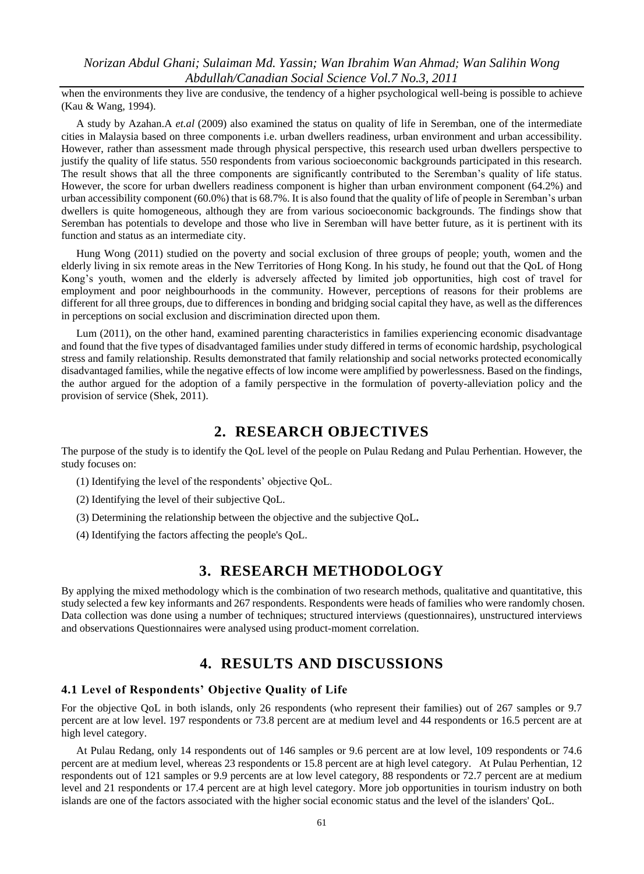when the environments they live are condusive, the tendency of a higher psychological well-being is possible to achieve (Kau & Wang, 1994).

A study by Azahan.A *et.al* (2009) also examined the status on quality of life in Seremban, one of the intermediate cities in Malaysia based on three components i.e. urban dwellers readiness, urban environment and urban accessibility. However, rather than assessment made through physical perspective, this research used urban dwellers perspective to justify the quality of life status. 550 respondents from various socioeconomic backgrounds participated in this research. The result shows that all the three components are significantly contributed to the Seremban"s quality of life status. However, the score for urban dwellers readiness component is higher than urban environment component (64.2%) and urban accessibility component (60.0%) that is 68.7%. It is also found that the quality of life of people in Seremban"s urban dwellers is quite homogeneous, although they are from various socioeconomic backgrounds. The findings show that Seremban has potentials to develope and those who live in Seremban will have better future, as it is pertinent with its function and status as an intermediate city.

Hung Wong (2011) studied on the poverty and social exclusion of three groups of people; youth, women and the elderly living in six remote areas in the New Territories of Hong Kong. In his study, he found out that the QoL of Hong Kong's youth, women and the elderly is adversely affected by limited job opportunities, high cost of travel for employment and poor neighbourhoods in the community. However, perceptions of reasons for their problems are different for all three groups, due to differences in bonding and bridging social capital they have, as well as the differences in perceptions on social exclusion and discrimination directed upon them.

Lum (2011), on the other hand, examined parenting characteristics in families experiencing economic disadvantage and found that the five types of disadvantaged families under study differed in terms of economic hardship, psychological stress and family relationship. Results demonstrated that family relationship and social networks protected economically disadvantaged families, while the negative effects of low income were amplified by powerlessness. Based on the findings, the author argued for the adoption of a family perspective in the formulation of poverty-alleviation policy and the provision of service (Shek, 2011).

# **2. RESEARCH OBJECTIVES**

The purpose of the study is to identify the QoL level of the people on Pulau Redang and Pulau Perhentian. However, the study focuses on:

- (1) Identifying the level of the respondents" objective QoL.
- (2) Identifying the level of their subjective QoL.
- (3) Determining the relationship between the objective and the subjective QoL**.**
- (4) Identifying the factors affecting the people's QoL.

# **3. RESEARCH METHODOLOGY**

By applying the mixed methodology which is the combination of two research methods, qualitative and quantitative, this study selected a few key informants and 267 respondents. Respondents were heads of families who were randomly chosen. Data collection was done using a number of techniques; structured interviews (questionnaires), unstructured interviews and observations Questionnaires were analysed using product-moment correlation.

# **4. RESULTS AND DISCUSSIONS**

#### **4.1 Level of Respondents' Objective Quality of Life**

For the objective QoL in both islands, only 26 respondents (who represent their families) out of 267 samples or 9.7 percent are at low level. 197 respondents or 73.8 percent are at medium level and 44 respondents or 16.5 percent are at high level category.

At Pulau Redang, only 14 respondents out of 146 samples or 9.6 percent are at low level, 109 respondents or 74.6 percent are at medium level, whereas 23 respondents or 15.8 percent are at high level category. At Pulau Perhentian, 12 respondents out of 121 samples or 9.9 percents are at low level category, 88 respondents or 72.7 percent are at medium level and 21 respondents or 17.4 percent are at high level category. More job opportunities in tourism industry on both islands are one of the factors associated with the higher social economic status and the level of the islanders' QoL.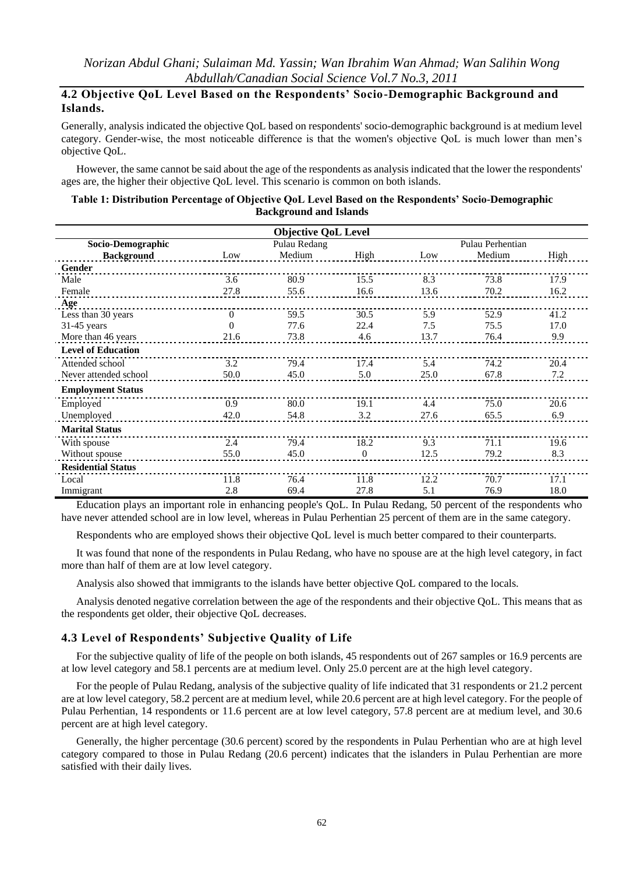## **4.2 Objective QoL Level Based on the Respondents' Socio-Demographic Background and Islands.**

Generally, analysis indicated the objective QoL based on respondents' socio-demographic background is at medium level category. Gender-wise, the most noticeable difference is that the women's objective QoL is much lower than men"s objective QoL.

However, the same cannot be said about the age of the respondents as analysis indicated that the lower the respondents' ages are, the higher their objective QoL level. This scenario is common on both islands.

#### **Table 1: Distribution Percentage of Objective QoL Level Based on the Respondents' Socio-Demographic Background and Islands**

| <b>Objective QoL Level</b> |                |              |              |      |                  |      |  |
|----------------------------|----------------|--------------|--------------|------|------------------|------|--|
| Socio-Demographic          |                | Pulau Redang |              |      | Pulau Perhentian |      |  |
| <b>Background</b>          | Low            | Medium       | High         | Low  | Medium           | High |  |
| Gender                     |                |              |              |      |                  |      |  |
| Male                       | 3.6            | 80.9         | 15.5         | 8.3  | 73.8             | 17.9 |  |
| Female                     | 27.8           | 55.6         | 16.6         | 13.6 | 70.2             | 16.2 |  |
| Age                        |                |              |              |      |                  |      |  |
| Less than 30 years         | $\overline{0}$ | 59.5         | 30.5         | 5.9  | 52.9             | 41.2 |  |
| $31-45$ years              | $\Omega$       | 77.6         | 22.4         | 7.5  | 75.5             | 17.0 |  |
| More than 46 years         | 21.6           | 73.8         | 4.6          | 13.7 | 76.4             | 9.9  |  |
| <b>Level of Education</b>  |                |              |              |      |                  |      |  |
| Attended school            | 3.2            | 79.4         | 17.4         | 5.4  | 74.2             | 20.4 |  |
| Never attended school      | 50.0           | 45.0         | 5.0          | 25.0 | 67.8             | 7.2  |  |
| <b>Employment Status</b>   |                |              |              |      |                  |      |  |
| Employed                   | 0.9            | 80.0         | 19.1         | 4.4  | 75.0             | 20.6 |  |
| Unemployed                 | 42.0           | 54.8         | 3.2          | 27.6 | 65.5             | 6.9  |  |
| <b>Marital Status</b>      |                |              |              |      |                  |      |  |
| With spouse                | 2.4            | 79.4         | 18.2         | 9.3  | 71.1             | 19.6 |  |
| Without spouse             | 55.0           | 45.0         | $\mathbf{0}$ | 12.5 | 79.2             | 8.3  |  |
| <b>Residential Status</b>  |                |              |              |      |                  |      |  |
| Local                      | 11.8           | 76.4         | 11.8         | 12.2 | 70.7             | 17.1 |  |
| Immigrant                  | 2.8            | 69.4         | 27.8         | 5.1  | 76.9             | 18.0 |  |

Education plays an important role in enhancing people's QoL. In Pulau Redang, 50 percent of the respondents who have never attended school are in low level, whereas in Pulau Perhentian 25 percent of them are in the same category.

Respondents who are employed shows their objective QoL level is much better compared to their counterparts.

It was found that none of the respondents in Pulau Redang, who have no spouse are at the high level category, in fact more than half of them are at low level category.

Analysis also showed that immigrants to the islands have better objective QoL compared to the locals.

Analysis denoted negative correlation between the age of the respondents and their objective QoL. This means that as the respondents get older, their objective QoL decreases.

#### **4.3 Level of Respondents' Subjective Quality of Life**

For the subjective quality of life of the people on both islands, 45 respondents out of 267 samples or 16.9 percents are at low level category and 58.1 percents are at medium level. Only 25.0 percent are at the high level category.

For the people of Pulau Redang, analysis of the subjective quality of life indicated that 31 respondents or 21.2 percent are at low level category, 58.2 percent are at medium level, while 20.6 percent are at high level category. For the people of Pulau Perhentian, 14 respondents or 11.6 percent are at low level category, 57.8 percent are at medium level, and 30.6 percent are at high level category.

Generally, the higher percentage (30.6 percent) scored by the respondents in Pulau Perhentian who are at high level category compared to those in Pulau Redang (20.6 percent) indicates that the islanders in Pulau Perhentian are more satisfied with their daily lives.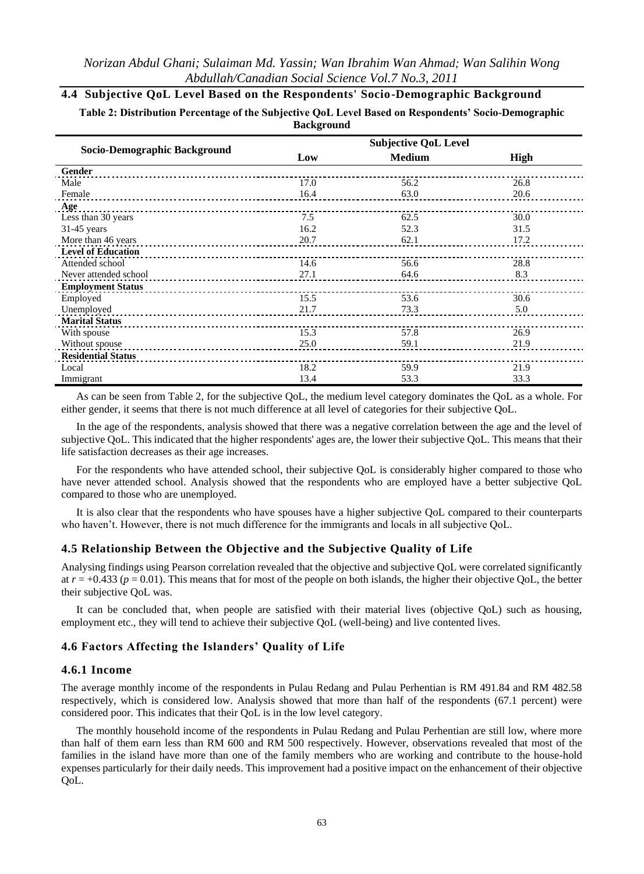# **4.4 Subjective QoL Level Based on the Respondents' Socio-Demographic Background**

**Table 2: Distribution Percentage of the Subjective QoL Level Based on Respondents' Socio-Demographic Background**

|                              |      | <b>Subjective QoL Level</b> |      |
|------------------------------|------|-----------------------------|------|
| Socio-Demographic Background | Low  | <b>Medium</b>               | High |
| Gender                       |      |                             |      |
| Male                         | 17.0 | 56.2                        | 26.8 |
| Female                       | 16.4 | 63.0                        | 20.6 |
| Age                          |      |                             |      |
| Less than 30 years           | 7.5  | 62.5                        | 30.0 |
| $31-45$ years                | 16.2 | 52.3                        | 31.5 |
| More than 46 years           | 20.7 | 62.1                        | 17.2 |
| <b>Level of Education</b>    |      |                             |      |
| Attended school              | 14.6 | 56.6                        | 28.8 |
| Never attended school        | 27.1 | 64.6                        | 8.3  |
| <b>Employment Status</b>     |      |                             |      |
| Employed                     | 15.5 | 53.6                        | 30.6 |
| Unemployed                   | 21.7 | 73.3                        | 5.0  |
| <b>Marital Status</b>        |      |                             |      |
| With spouse                  | 15.3 | 57.8                        | 26.9 |
| Without spouse               | 25.0 | 59.1                        | 21.9 |
| <b>Residential Status</b>    |      |                             |      |
| Local                        | 18.2 | 59.9                        | 21.9 |
| Immigrant                    | 13.4 | 53.3                        | 33.3 |

As can be seen from Table 2, for the subjective QoL, the medium level category dominates the QoL as a whole. For either gender, it seems that there is not much difference at all level of categories for their subjective QoL.

In the age of the respondents, analysis showed that there was a negative correlation between the age and the level of subjective QoL. This indicated that the higher respondents' ages are, the lower their subjective QoL. This means that their life satisfaction decreases as their age increases.

For the respondents who have attended school, their subjective QoL is considerably higher compared to those who have never attended school. Analysis showed that the respondents who are employed have a better subjective QoL compared to those who are unemployed.

It is also clear that the respondents who have spouses have a higher subjective QoL compared to their counterparts who haven't. However, there is not much difference for the immigrants and locals in all subjective QoL.

#### **4.5 Relationship Between the Objective and the Subjective Quality of Life**

Analysing findings using Pearson correlation revealed that the objective and subjective QoL were correlated significantly at  $r = +0.433$  ( $p = 0.01$ ). This means that for most of the people on both islands, the higher their objective OoL, the better their subjective QoL was.

It can be concluded that, when people are satisfied with their material lives (objective QoL) such as housing, employment etc., they will tend to achieve their subjective QoL (well-being) and live contented lives.

#### **4.6 Factors Affecting the Islanders' Quality of Life**

#### **4.6.1 Income**

The average monthly income of the respondents in Pulau Redang and Pulau Perhentian is RM 491.84 and RM 482.58 respectively, which is considered low. Analysis showed that more than half of the respondents (67.1 percent) were considered poor. This indicates that their QoL is in the low level category.

The monthly household income of the respondents in Pulau Redang and Pulau Perhentian are still low, where more than half of them earn less than RM 600 and RM 500 respectively. However, observations revealed that most of the families in the island have more than one of the family members who are working and contribute to the house-hold expenses particularly for their daily needs. This improvement had a positive impact on the enhancement of their objective QoL.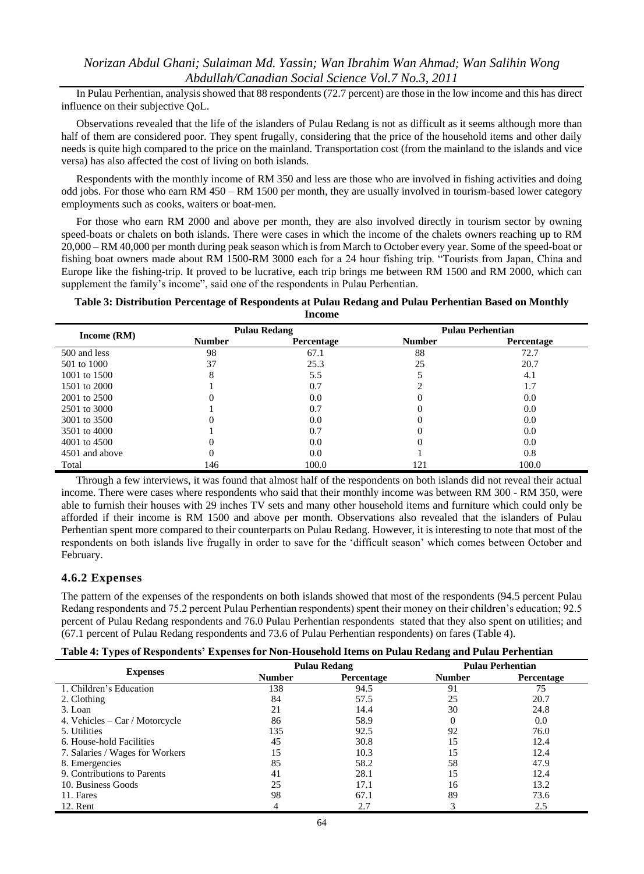In Pulau Perhentian, analysis showed that 88 respondents (72.7 percent) are those in the low income and this has direct influence on their subjective QoL.

Observations revealed that the life of the islanders of Pulau Redang is not as difficult as it seems although more than half of them are considered poor. They spent frugally, considering that the price of the household items and other daily needs is quite high compared to the price on the mainland. Transportation cost (from the mainland to the islands and vice versa) has also affected the cost of living on both islands.

Respondents with the monthly income of RM 350 and less are those who are involved in fishing activities and doing odd jobs. For those who earn RM 450 – RM 1500 per month, they are usually involved in tourism-based lower category employments such as cooks, waiters or boat-men.

For those who earn RM 2000 and above per month, they are also involved directly in tourism sector by owning speed-boats or chalets on both islands. There were cases in which the income of the chalets owners reaching up to RM 20,000 – RM 40,000 per month during peak season which is from March to October every year. Some of the speed-boat or fishing boat owners made about RM 1500-RM 3000 each for a 24 hour fishing trip. "Tourists from Japan, China and Europe like the fishing-trip. It proved to be lucrative, each trip brings me between RM 1500 and RM 2000, which can supplement the family's income", said one of the respondents in Pulau Perhentian.

#### **Table 3: Distribution Percentage of Respondents at Pulau Redang and Pulau Perhentian Based on Monthly Income**

|                |               | <b>Pulau Redang</b> |               | <b>Pulau Perhentian</b> |
|----------------|---------------|---------------------|---------------|-------------------------|
| Income (RM)    | <b>Number</b> | <b>Percentage</b>   | <b>Number</b> | <b>Percentage</b>       |
| 500 and less   | 98            | 67.1                | 88            | 72.7                    |
| 501 to 1000    | 37            | 25.3                | 25            | 20.7                    |
| 1001 to 1500   | x             | 5.5                 |               | 4.1                     |
| 1501 to 2000   |               | 0.7                 |               | 1.7                     |
| 2001 to 2500   |               | 0.0                 |               | 0.0                     |
| 2501 to 3000   |               | 0.7                 |               | 0.0                     |
| 3001 to 3500   |               | 0.0                 |               | 0.0                     |
| 3501 to 4000   |               | 0.7                 |               | 0.0                     |
| 4001 to 4500   |               | 0.0                 |               | 0.0                     |
| 4501 and above |               | 0.0                 |               | 0.8                     |
| Total          | 146           | 100.0               | 121           | 100.0                   |

Through a few interviews, it was found that almost half of the respondents on both islands did not reveal their actual income. There were cases where respondents who said that their monthly income was between RM 300 - RM 350, were able to furnish their houses with 29 inches TV sets and many other household items and furniture which could only be afforded if their income is RM 1500 and above per month. Observations also revealed that the islanders of Pulau Perhentian spent more compared to their counterparts on Pulau Redang. However, it is interesting to note that most of the respondents on both islands live frugally in order to save for the "difficult season" which comes between October and February.

#### **4.6.2 Expenses**

The pattern of the expenses of the respondents on both islands showed that most of the respondents (94.5 percent Pulau Redang respondents and 75.2 percent Pulau Perhentian respondents) spent their money on their children"s education; 92.5 percent of Pulau Redang respondents and 76.0 Pulau Perhentian respondents stated that they also spent on utilities; and (67.1 percent of Pulau Redang respondents and 73.6 of Pulau Perhentian respondents) on fares (Table 4).

| Table 4: Types of Respondents' Expenses for Non-Household Items on Pulau Redang and Pulau Perhentian |  |  |
|------------------------------------------------------------------------------------------------------|--|--|
|                                                                                                      |  |  |

|                                 |               | <b>Pulau Redang</b> | <b>Pulau Perhentian</b> |            |
|---------------------------------|---------------|---------------------|-------------------------|------------|
| <b>Expenses</b>                 | <b>Number</b> | <b>Percentage</b>   | <b>Number</b>           | Percentage |
| 1. Children's Education         | 138           | 94.5                | 91                      | 75         |
| 2. Clothing                     | 84            | 57.5                | 25                      | 20.7       |
| 3. Loan                         | 21            | 14.4                | 30                      | 24.8       |
| 4. Vehicles – Car / Motorcycle  | 86            | 58.9                | 0                       | 0.0        |
| 5. Utilities                    | 135           | 92.5                | 92                      | 76.0       |
| 6. House-hold Facilities        | 45            | 30.8                | 15                      | 12.4       |
| 7. Salaries / Wages for Workers | 15            | 10.3                | 15                      | 12.4       |
| 8. Emergencies                  | 85            | 58.2                | 58                      | 47.9       |
| 9. Contributions to Parents     | 41            | 28.1                | 15                      | 12.4       |
| 10. Business Goods              | 25            | 17.1                | 16                      | 13.2       |
| 11. Fares                       | 98            | 67.1                | 89                      | 73.6       |
| 12. Rent                        | 4             | 2.7                 |                         | 2.5        |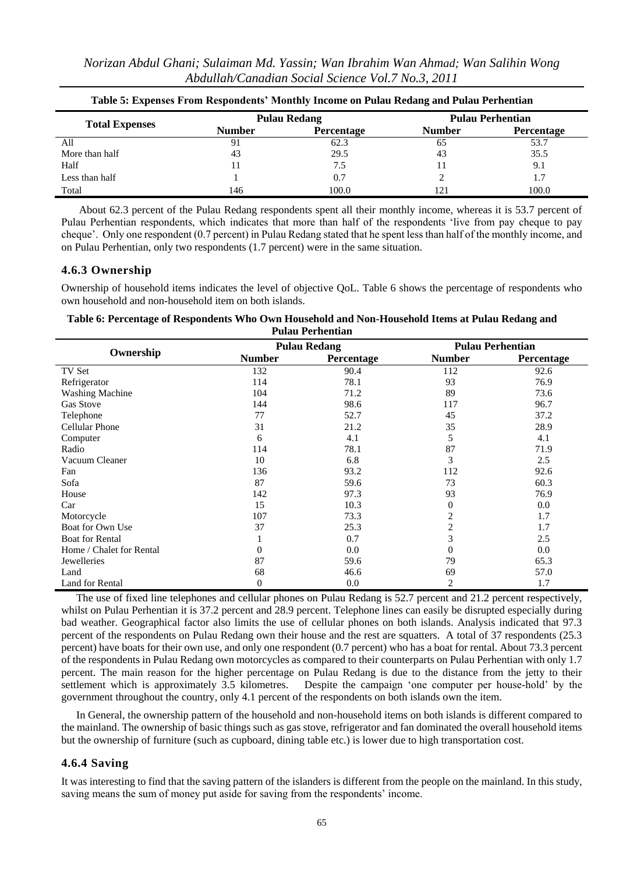| Norizan Abdul Ghani; Sulaiman Md. Yassin; Wan Ibrahim Wan Ahmad; Wan Salihin Wong |  |  |  |
|-----------------------------------------------------------------------------------|--|--|--|
| Abdullah/Canadian Social Science Vol.7 No.3, 2011                                 |  |  |  |

| Table 5. Expenses From Respondents Twohlmy Income on I mad Redaily and I mad I efficilitan |               |                     |                         |                   |  |
|--------------------------------------------------------------------------------------------|---------------|---------------------|-------------------------|-------------------|--|
| <b>Total Expenses</b>                                                                      |               | <b>Pulau Redang</b> | <b>Pulau Perhentian</b> |                   |  |
|                                                                                            | <b>Number</b> | <b>Percentage</b>   | <b>Number</b>           | <b>Percentage</b> |  |
| All                                                                                        | 91            | 62.3                | 65                      | 53.7              |  |
| More than half                                                                             | 43            | 29.5                | 43                      | 35.5              |  |
| Half                                                                                       |               | 7.5                 |                         | 9.1               |  |
| Less than half                                                                             |               | 0.7                 |                         |                   |  |
| Total                                                                                      | 146           | 100.0               | 121                     | 100.0             |  |

|  | Table 5: Expenses From Respondents' Monthly Income on Pulau Redang and Pulau Perhentian |  |
|--|-----------------------------------------------------------------------------------------|--|
|  |                                                                                         |  |

About 62.3 percent of the Pulau Redang respondents spent all their monthly income, whereas it is 53.7 percent of Pulau Perhentian respondents, which indicates that more than half of the respondents "live from pay cheque to pay cheque". Only one respondent (0.7 percent) in Pulau Redang stated that he spent less than half of the monthly income, and on Pulau Perhentian, only two respondents (1.7 percent) were in the same situation.

### **4.6.3 Ownership**

Ownership of household items indicates the level of objective QoL. Table 6 shows the percentage of respondents who own household and non-household item on both islands.

#### **Table 6: Percentage of Respondents Who Own Household and Non-Household Items at Pulau Redang and Pulau Perhentian**

|                          |                  | <b>Pulau Redang</b> | <b>Pulau Perhentian</b> |            |  |
|--------------------------|------------------|---------------------|-------------------------|------------|--|
| Ownership                | <b>Number</b>    | Percentage          | <b>Number</b>           | Percentage |  |
| TV Set                   | 132              | 90.4                | 112                     | 92.6       |  |
| Refrigerator             | 114              | 78.1                | 93                      | 76.9       |  |
| <b>Washing Machine</b>   | 104              | 71.2                | 89                      | 73.6       |  |
| Gas Stove                | 144              | 98.6                | 117                     | 96.7       |  |
| Telephone                | 77               | 52.7                | 45                      | 37.2       |  |
| Cellular Phone           | 31               | 21.2                | 35                      | 28.9       |  |
| Computer                 | 6                | 4.1                 | 5                       | 4.1        |  |
| Radio                    | 114              | 78.1                | 87                      | 71.9       |  |
| Vacuum Cleaner           | 10               | 6.8                 | 3                       | 2.5        |  |
| Fan                      | 136              | 93.2                | 112                     | 92.6       |  |
| Sofa                     | 87               | 59.6                | 73                      | 60.3       |  |
| House                    | 142              | 97.3                | 93                      | 76.9       |  |
| Car                      | 15               | 10.3                | 0                       | 0.0        |  |
| Motorcycle               | 107              | 73.3                | 2                       | 1.7        |  |
| Boat for Own Use         | 37               | 25.3                | 2                       | 1.7        |  |
| <b>Boat for Rental</b>   | 1                | 0.7                 | 3                       | 2.5        |  |
| Home / Chalet for Rental | $\overline{0}$   | 0.0                 | 0                       | 0.0        |  |
| Jewelleries              | 87               | 59.6                | 79                      | 65.3       |  |
| Land                     | 68               | 46.6                | 69                      | 57.0       |  |
| Land for Rental          | $\boldsymbol{0}$ | 0.0                 | $\overline{2}$          | 1.7        |  |

The use of fixed line telephones and cellular phones on Pulau Redang is 52.7 percent and 21.2 percent respectively, whilst on Pulau Perhentian it is 37.2 percent and 28.9 percent. Telephone lines can easily be disrupted especially during bad weather. Geographical factor also limits the use of cellular phones on both islands. Analysis indicated that 97.3 percent of the respondents on Pulau Redang own their house and the rest are squatters. A total of 37 respondents (25.3 percent) have boats for their own use, and only one respondent (0.7 percent) who has a boat for rental. About 73.3 percent of the respondents in Pulau Redang own motorcycles as compared to their counterparts on Pulau Perhentian with only 1.7 percent. The main reason for the higher percentage on Pulau Redang is due to the distance from the jetty to their settlement which is approximately 3.5 kilometres.Despite the campaign "one computer per house-hold" by the government throughout the country, only 4.1 percent of the respondents on both islands own the item.

In General, the ownership pattern of the household and non-household items on both islands is different compared to the mainland. The ownership of basic things such as gas stove, refrigerator and fan dominated the overall household items but the ownership of furniture (such as cupboard, dining table etc.) is lower due to high transportation cost.

### **4.6.4 Saving**

It was interesting to find that the saving pattern of the islanders is different from the people on the mainland. In this study, saving means the sum of money put aside for saving from the respondents' income.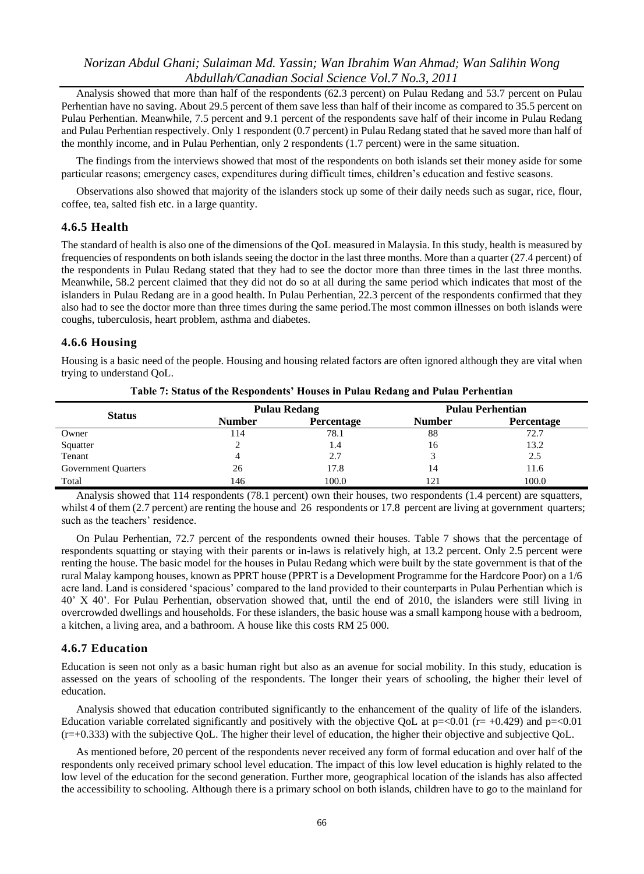Analysis showed that more than half of the respondents (62.3 percent) on Pulau Redang and 53.7 percent on Pulau Perhentian have no saving. About 29.5 percent of them save less than half of their income as compared to 35.5 percent on Pulau Perhentian. Meanwhile, 7.5 percent and 9.1 percent of the respondents save half of their income in Pulau Redang and Pulau Perhentian respectively. Only 1 respondent (0.7 percent) in Pulau Redang stated that he saved more than half of the monthly income, and in Pulau Perhentian, only 2 respondents (1.7 percent) were in the same situation.

The findings from the interviews showed that most of the respondents on both islands set their money aside for some particular reasons; emergency cases, expenditures during difficult times, children"s education and festive seasons.

Observations also showed that majority of the islanders stock up some of their daily needs such as sugar, rice, flour, coffee, tea, salted fish etc. in a large quantity.

#### **4.6.5 Health**

The standard of health is also one of the dimensions of the QoL measured in Malaysia. In this study, health is measured by frequencies of respondents on both islands seeing the doctor in the last three months. More than a quarter (27.4 percent) of the respondents in Pulau Redang stated that they had to see the doctor more than three times in the last three months. Meanwhile, 58.2 percent claimed that they did not do so at all during the same period which indicates that most of the islanders in Pulau Redang are in a good health. In Pulau Perhentian, 22.3 percent of the respondents confirmed that they also had to see the doctor more than three times during the same period.The most common illnesses on both islands were coughs, tuberculosis, heart problem, asthma and diabetes.

#### **4.6.6 Housing**

Housing is a basic need of the people. Housing and housing related factors are often ignored although they are vital when trying to understand QoL.

| <b>Status</b>       |               | <b>Pulau Redang</b> |               | <b>Pulau Perhentian</b> |
|---------------------|---------------|---------------------|---------------|-------------------------|
|                     | <b>Number</b> | Percentage          | <b>Number</b> | Percentage              |
| Owner               | 114           | 78.1                | 88            | 72.7                    |
| Squatter            |               | 1.4                 | 16            | 13.2                    |
| Tenant              |               | 2.7                 |               | 2.5                     |
| Government Quarters | 26            | 17.8                | 14            | 11.6                    |
| Total               | 146           | 100.0               | 121           | 100.0                   |

**Table 7: Status of the Respondents' Houses in Pulau Redang and Pulau Perhentian**

Analysis showed that 114 respondents (78.1 percent) own their houses, two respondents (1.4 percent) are squatters, whilst 4 of them (2.7 percent) are renting the house and 26 respondents or 17.8 percent are living at government quarters; such as the teachers' residence.

On Pulau Perhentian, 72.7 percent of the respondents owned their houses. Table 7 shows that the percentage of respondents squatting or staying with their parents or in-laws is relatively high, at 13.2 percent. Only 2.5 percent were renting the house. The basic model for the houses in Pulau Redang which were built by the state government is that of the rural Malay kampong houses, known as PPRT house (PPRT is a Development Programme for the Hardcore Poor) on a 1/6 acre land. Land is considered "spacious" compared to the land provided to their counterparts in Pulau Perhentian which is 40" X 40". For Pulau Perhentian, observation showed that, until the end of 2010, the islanders were still living in overcrowded dwellings and households. For these islanders, the basic house was a small kampong house with a bedroom, a kitchen, a living area, and a bathroom. A house like this costs RM 25 000.

#### **4.6.7 Education**

Education is seen not only as a basic human right but also as an avenue for social mobility. In this study, education is assessed on the years of schooling of the respondents. The longer their years of schooling, the higher their level of education.

Analysis showed that education contributed significantly to the enhancement of the quality of life of the islanders. Education variable correlated significantly and positively with the objective QoL at  $p = 0.01$  (r= +0.429) and  $p = 0.01$  $(r=+0.333)$  with the subjective QoL. The higher their level of education, the higher their objective and subjective QoL.

As mentioned before, 20 percent of the respondents never received any form of formal education and over half of the respondents only received primary school level education. The impact of this low level education is highly related to the low level of the education for the second generation. Further more, geographical location of the islands has also affected the accessibility to schooling. Although there is a primary school on both islands, children have to go to the mainland for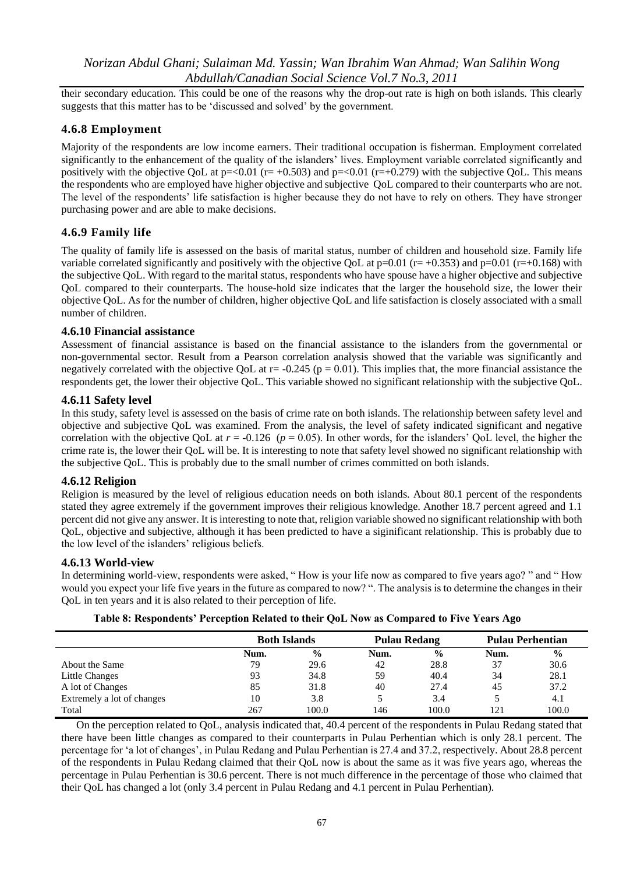their secondary education. This could be one of the reasons why the drop-out rate is high on both islands. This clearly suggests that this matter has to be "discussed and solved" by the government.

### **4.6.8 Employment**

Majority of the respondents are low income earners. Their traditional occupation is fisherman. Employment correlated significantly to the enhancement of the quality of the islanders' lives. Employment variable correlated significantly and positively with the objective QoL at  $p = 0.01$  ( $r = +0.503$ ) and  $p = 0.01$  ( $r = +0.279$ ) with the subjective QoL. This means the respondents who are employed have higher objective and subjective QoL compared to their counterparts who are not. The level of the respondents' life satisfaction is higher because they do not have to rely on others. They have stronger purchasing power and are able to make decisions.

### **4.6.9 Family life**

The quality of family life is assessed on the basis of marital status, number of children and household size. Family life variable correlated significantly and positively with the objective QoL at  $p=0.01$  ( $r=+0.353$ ) and  $p=0.01$  ( $r=+0.168$ ) with the subjective QoL. With regard to the marital status, respondents who have spouse have a higher objective and subjective QoL compared to their counterparts. The house-hold size indicates that the larger the household size, the lower their objective QoL. As for the number of children, higher objective QoL and life satisfaction is closely associated with a small number of children.

#### **4.6.10 Financial assistance**

Assessment of financial assistance is based on the financial assistance to the islanders from the governmental or non-governmental sector. Result from a Pearson correlation analysis showed that the variable was significantly and negatively correlated with the objective QoL at  $r = -0.245$  ( $p = 0.01$ ). This implies that, the more financial assistance the respondents get, the lower their objective QoL. This variable showed no significant relationship with the subjective QoL.

#### **4.6.11 Safety level**

In this study, safety level is assessed on the basis of crime rate on both islands. The relationship between safety level and objective and subjective QoL was examined. From the analysis, the level of safety indicated significant and negative correlation with the objective QoL at  $r = -0.126$  ( $p = 0.05$ ). In other words, for the islanders' QoL level, the higher the crime rate is, the lower their QoL will be. It is interesting to note that safety level showed no significant relationship with the subjective QoL. This is probably due to the small number of crimes committed on both islands.

#### **4.6.12 Religion**

Religion is measured by the level of religious education needs on both islands. About 80.1 percent of the respondents stated they agree extremely if the government improves their religious knowledge. Another 18.7 percent agreed and 1.1 percent did not give any answer. It is interesting to note that, religion variable showed no significant relationship with both QoL, objective and subjective, although it has been predicted to have a siginificant relationship. This is probably due to the low level of the islanders' religious beliefs.

#### **4.6.13 World-view**

In determining world-view, respondents were asked, " How is your life now as compared to five years ago? " and " How would you expect your life five years in the future as compared to now? ". The analysis is to determine the changes in their QoL in ten years and it is also related to their perception of life.

| Table 8: Respondents' Perception Related to their QoL Now as Compared to Five Years Ago |  |  |  |
|-----------------------------------------------------------------------------------------|--|--|--|
|                                                                                         |  |  |  |

|                            | <b>Both Islands</b> |               | <b>Pulau Redang</b> |               | <b>Pulau Perhentian</b> |               |
|----------------------------|---------------------|---------------|---------------------|---------------|-------------------------|---------------|
|                            | Num.                | $\frac{6}{6}$ | Num.                | $\frac{0}{0}$ | Num.                    | $\frac{6}{6}$ |
| About the Same             | 79                  | 29.6          | 42                  | 28.8          | 37                      | 30.6          |
| Little Changes             | 93                  | 34.8          | 59                  | 40.4          | 34                      | 28.1          |
| A lot of Changes           | 85                  | 31.8          | 40                  | 27.4          | 45                      | 37.2          |
| Extremely a lot of changes | 10                  | 3.8           |                     | 3.4           |                         | 4.1           |
| Total                      | 267                 | 100.0         | 146                 | 100.0         | 121                     | 100.0         |

On the perception related to QoL, analysis indicated that, 40.4 percent of the respondents in Pulau Redang stated that there have been little changes as compared to their counterparts in Pulau Perhentian which is only 28.1 percent. The percentage for "a lot of changes", in Pulau Redang and Pulau Perhentian is 27.4 and 37.2, respectively. About 28.8 percent of the respondents in Pulau Redang claimed that their QoL now is about the same as it was five years ago, whereas the percentage in Pulau Perhentian is 30.6 percent. There is not much difference in the percentage of those who claimed that their QoL has changed a lot (only 3.4 percent in Pulau Redang and 4.1 percent in Pulau Perhentian).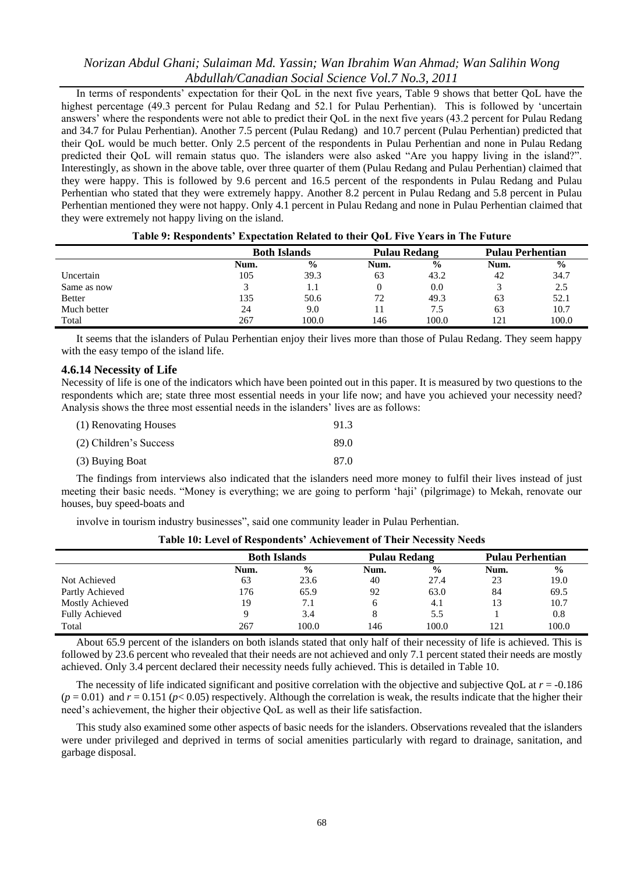In terms of respondents' expectation for their QoL in the next five years, Table 9 shows that better QoL have the highest percentage (49.3 percent for Pulau Redang and 52.1 for Pulau Perhentian). This is followed by 'uncertain answers" where the respondents were not able to predict their QoL in the next five years (43.2 percent for Pulau Redang and 34.7 for Pulau Perhentian). Another 7.5 percent (Pulau Redang) and 10.7 percent (Pulau Perhentian) predicted that their QoL would be much better. Only 2.5 percent of the respondents in Pulau Perhentian and none in Pulau Redang predicted their QoL will remain status quo. The islanders were also asked "Are you happy living in the island?". Interestingly, as shown in the above table, over three quarter of them (Pulau Redang and Pulau Perhentian) claimed that they were happy. This is followed by 9.6 percent and 16.5 percent of the respondents in Pulau Redang and Pulau Perhentian who stated that they were extremely happy. Another 8.2 percent in Pulau Redang and 5.8 percent in Pulau Perhentian mentioned they were not happy. Only 4.1 percent in Pulau Redang and none in Pulau Perhentian claimed that they were extremely not happy living on the island.

|               | -                   |               |                     |               |                         |               |
|---------------|---------------------|---------------|---------------------|---------------|-------------------------|---------------|
|               | <b>Both Islands</b> |               | <b>Pulau Redang</b> |               | <b>Pulau Perhentian</b> |               |
|               | Num.                | $\frac{0}{0}$ | Num.                | $\frac{6}{6}$ | Num.                    | $\frac{0}{0}$ |
| Uncertain     | 105                 | 39.3          | 63                  | 43.2          | 42                      | 34.7          |
| Same as now   |                     | 1.1           |                     | 0.0           |                         | 2.5           |
| <b>Better</b> | 135                 | 50.6          | 72                  | 49.3          | 63                      | 52.1          |
| Much better   | 24                  | 9.0           |                     | 7.5           | 63                      | 10.7          |
| Total         | 267                 | 100.0         | 146                 | 100.0         | 121                     | 100.0         |

**Table 9: Respondents' Expectation Related to their QoL Five Years in The Future**

It seems that the islanders of Pulau Perhentian enjoy their lives more than those of Pulau Redang. They seem happy with the easy tempo of the island life.

#### **4.6.14 Necessity of Life**

Necessity of life is one of the indicators which have been pointed out in this paper. It is measured by two questions to the respondents which are; state three most essential needs in your life now; and have you achieved your necessity need? Analysis shows the three most essential needs in the islanders' lives are as follows:

| (1) Renovating Houses  | 91.3 |
|------------------------|------|
| (2) Children's Success | 89.0 |
| (3) Buying Boat        | 87.0 |

The findings from interviews also indicated that the islanders need more money to fulfil their lives instead of just meeting their basic needs. "Money is everything; we are going to perform "haji" (pilgrimage) to Mekah, renovate our houses, buy speed-boats and

involve in tourism industry businesses", said one community leader in Pulau Perhentian.

| Table To. Elevel of Intepollucing Themevelinent of Their Tucessity Tucus |      |                     |      |                     |      |                         |  |  |
|--------------------------------------------------------------------------|------|---------------------|------|---------------------|------|-------------------------|--|--|
|                                                                          |      | <b>Both Islands</b> |      | <b>Pulau Redang</b> |      | <b>Pulau Perhentian</b> |  |  |
|                                                                          | Num. | $\frac{6}{6}$       | Num. | $\frac{0}{0}$       | Num. | $\frac{0}{0}$           |  |  |
| Not Achieved                                                             | 63   | 23.6                | 40   | 27.4                | 23   | 19.0                    |  |  |
| Partly Achieved                                                          | 176  | 65.9                | 92   | 63.0                | 84   | 69.5                    |  |  |
| Mostly Achieved                                                          | 19   |                     |      | 4.1                 |      | 10.7                    |  |  |
| <b>Fully Achieved</b>                                                    |      | 3.4                 |      | 5.5                 |      | 0.8                     |  |  |
| Total                                                                    | 267  | 100.0               | 146  | 100.0               | 121  | 100.0                   |  |  |

**Table 10: Level of Respondents' Achievement of Their Necessity Needs**

About 65.9 percent of the islanders on both islands stated that only half of their necessity of life is achieved. This is followed by 23.6 percent who revealed that their needs are not achieved and only 7.1 percent stated their needs are mostly achieved. Only 3.4 percent declared their necessity needs fully achieved. This is detailed in Table 10.

The necessity of life indicated significant and positive correlation with the objective and subjective QoL at  $r = -0.186$  $(p = 0.01)$  and  $r = 0.151 (p < 0.05)$  respectively. Although the correlation is weak, the results indicate that the higher their need"s achievement, the higher their objective QoL as well as their life satisfaction.

This study also examined some other aspects of basic needs for the islanders. Observations revealed that the islanders were under privileged and deprived in terms of social amenities particularly with regard to drainage, sanitation, and garbage disposal.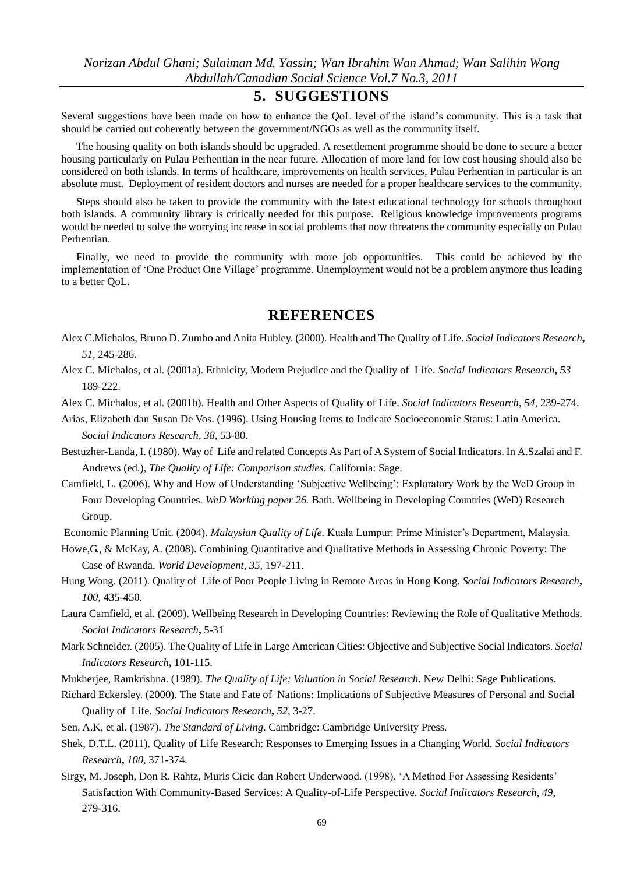# **5. SUGGESTIONS**

Several suggestions have been made on how to enhance the QoL level of the island"s community. This is a task that should be carried out coherently between the government/NGOs as well as the community itself.

The housing quality on both islands should be upgraded. A resettlement programme should be done to secure a better housing particularly on Pulau Perhentian in the near future. Allocation of more land for low cost housing should also be considered on both islands. In terms of healthcare, improvements on health services, Pulau Perhentian in particular is an absolute must. Deployment of resident doctors and nurses are needed for a proper healthcare services to the community.

Steps should also be taken to provide the community with the latest educational technology for schools throughout both islands. A community library is critically needed for this purpose. Religious knowledge improvements programs would be needed to solve the worrying increase in social problems that now threatens the community especially on Pulau Perhentian.

Finally, we need to provide the community with more job opportunities. This could be achieved by the implementation of "One Product One Village" programme. Unemployment would not be a problem anymore thus leading to a better QoL.

### **REFERENCES**

- Alex C.Michalos, Bruno D. Zumbo and Anita Hubley. (2000). Health and The Quality of Life. *Social Indicators Research***,**  *51,* 245-286**.**
- Alex C. Michalos, et al. (2001a). Ethnicity, Modern Prejudice and the Quality of Life. *Social Indicators Research***,** *53* 189-222.

Alex C. Michalos, et al. (2001b). Health and Other Aspects of Quality of Life. *Social Indicators Research*, *54*, 239-274.

- Arias, Elizabeth dan Susan De Vos. (1996). Using Housing Items to Indicate Socioeconomic Status: Latin America. *Social Indicators Research*, *38,* 53-80.
- Bestuzher-Landa, I. (1980). Way of Life and related Concepts As Part of A System of Social Indicators. In A.Szalai and F. Andrews (ed.), *The Quality of Life: Comparison studies*. California: Sage.
- Camfield, L. (2006). Why and How of Understanding "Subjective Wellbeing": Exploratory Work by the WeD Group in Four Developing Countries. *WeD Working paper 26.* Bath. Wellbeing in Developing Countries (WeD) Research Group.

Economic Planning Unit. (2004). *Malaysian Quality of Life.* Kuala Lumpur: Prime Minister"s Department, Malaysia.

Howe,G., & McKay, A. (2008). Combining Quantitative and Qualitative Methods in Assessing Chronic Poverty: The Case of Rwanda. *World Development*, *35*, 197-211.

Hung Wong. (2011). Quality of Life of Poor People Living in Remote Areas in Hong Kong. *Social Indicators Research***,** *100*, 435-450.

- Laura Camfield, et al. (2009). Wellbeing Research in Developing Countries: Reviewing the Role of Qualitative Methods. *Social Indicators Research***,** 5-31
- Mark Schneider. (2005). The Quality of Life in Large American Cities: Objective and Subjective Social Indicators. *Social Indicators Research***,** 101-115.
- Mukherjee, Ramkrishna. (1989). *The Quality of Life; Valuation in Social Research***.** New Delhi: Sage Publications.

Richard Eckersley. (2000). The State and Fate of Nations: Implications of Subjective Measures of Personal and Social Quality of Life. *Social Indicators Research***,** *52*, 3-27.

Sen, A.K, et al. (1987). *The Standard of Living*. Cambridge: Cambridge University Press.

Shek, D.T.L. (2011). Quality of Life Research: Responses to Emerging Issues in a Changing World. *Social Indicators Research***,** *100*, 371-374.

Sirgy, M. Joseph, Don R. Rahtz, Muris Cicic dan Robert Underwood. (1998). "A Method For Assessing Residents" Satisfaction With Community-Based Services: A Quality-of-Life Perspective. *Social Indicators Research*, *49*, 279-316.